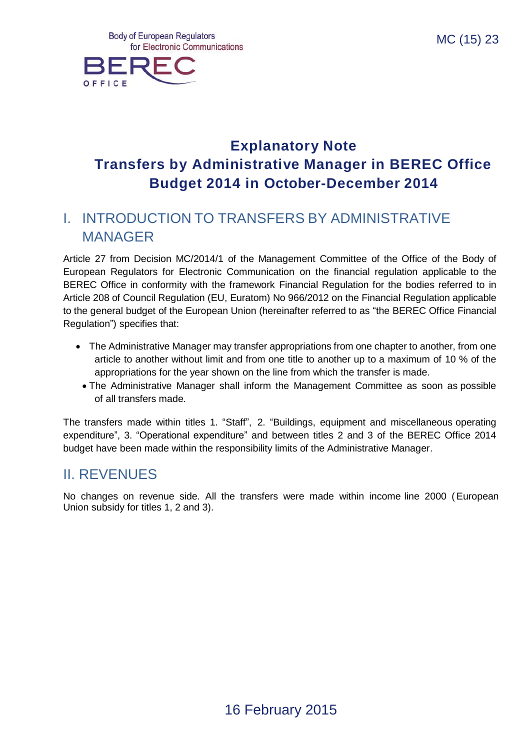

# **Explanatory Note Transfers by Administrative Manager in BEREC Office Budget 2014 in October-December 2014**

# I. INTRODUCTION TO TRANSFERS BY ADMINISTRATIVE MANAGER

Article 27 from Decision MC/2014/1 of the Management Committee of the Office of the Body of European Regulators for Electronic Communication on the financial regulation applicable to the BEREC Office in conformity with the framework Financial Regulation for the bodies referred to in Article 208 of Council Regulation (EU, Euratom) No 966/2012 on the Financial Regulation applicable to the general budget of the European Union (hereinafter referred to as "the BEREC Office Financial Regulation") specifies that:

- The Administrative Manager may transfer appropriations from one chapter to another, from one article to another without limit and from one title to another up to a maximum of 10 % of the appropriations for the year shown on the line from which the transfer is made.
	- The Administrative Manager shall inform the Management Committee as soon as possible of all transfers made.

The transfers made within titles 1. "Staff", 2. "Buildings, equipment and miscellaneous operating expenditure", 3. "Operational expenditure" and between titles 2 and 3 of the BEREC Office 2014 budget have been made within the responsibility limits of the Administrative Manager.

## II. REVENUES

No changes on revenue side. All the transfers were made within income line 2000 (European Union subsidy for titles 1, 2 and 3).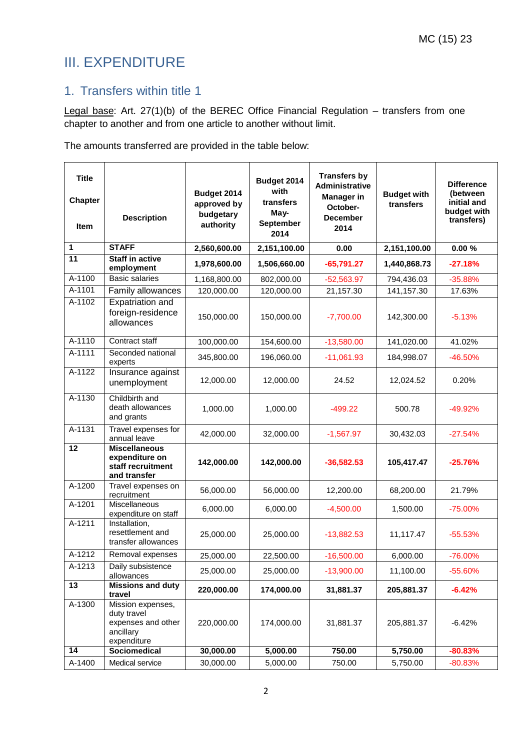# III. EXPENDITURE

## 1. Transfers within title 1

Legal base: Art. 27(1)(b) of the BEREC Office Financial Regulation – transfers from one chapter to another and from one article to another without limit.

The amounts transferred are provided in the table below:

| <b>Title</b><br><b>Chapter</b><br><b>Item</b> | <b>Description</b>                                                                 | Budget 2014<br>approved by<br>budgetary<br>authority | Budget 2014<br>with<br>transfers<br>May-<br>September<br>2014 | <b>Transfers by</b><br>Administrative<br><b>Manager in</b><br>October-<br><b>December</b><br>2014 | <b>Budget with</b><br>transfers | <b>Difference</b><br>(between<br>initial and<br>budget with<br>transfers) |
|-----------------------------------------------|------------------------------------------------------------------------------------|------------------------------------------------------|---------------------------------------------------------------|---------------------------------------------------------------------------------------------------|---------------------------------|---------------------------------------------------------------------------|
| $\mathbf{1}$                                  | <b>STAFF</b>                                                                       | 2,560,600.00                                         | 2,151,100.00                                                  | 0.00                                                                                              | 2,151,100.00                    | 0.00%                                                                     |
| $\overline{11}$                               | <b>Staff in active</b><br>employment                                               | 1,978,600.00                                         | 1,506,660.00                                                  | $-65,791.27$                                                                                      | 1,440,868.73                    | $-27.18%$                                                                 |
| A-1100                                        | <b>Basic salaries</b>                                                              | 1,168,800.00                                         | 802,000.00                                                    | $-52,563.97$                                                                                      | 794,436.03                      | $-35.88%$                                                                 |
| A-1101                                        | Family allowances                                                                  | 120,000.00                                           | 120,000.00                                                    | 21,157.30                                                                                         | 141,157.30                      | 17.63%                                                                    |
| A-1102                                        | Expatriation and<br>foreign-residence<br>allowances                                | 150,000.00                                           | 150,000.00                                                    | $-7,700.00$                                                                                       | 142,300.00                      | $-5.13%$                                                                  |
| A-1110                                        | Contract staff                                                                     | 100,000.00                                           | 154,600.00                                                    | $-13,580.00$                                                                                      | 141,020.00                      | 41.02%                                                                    |
| A-1111                                        | Seconded national<br>experts                                                       | 345,800.00                                           | 196,060.00                                                    | $-11,061.93$                                                                                      | 184,998.07                      | $-46.50%$                                                                 |
| A-1122                                        | Insurance against<br>unemployment                                                  | 12,000.00                                            | 12,000.00                                                     | 24.52                                                                                             | 12,024.52                       | 0.20%                                                                     |
| A-1130                                        | Childbirth and<br>death allowances<br>and grants                                   | 1,000.00                                             | 1,000.00                                                      | $-499.22$                                                                                         | 500.78                          | $-49.92%$                                                                 |
| A-1131                                        | Travel expenses for<br>annual leave                                                | 42,000.00                                            | 32,000.00                                                     | $-1,567.97$                                                                                       | 30,432.03                       | $-27.54%$                                                                 |
| $\overline{12}$                               | <b>Miscellaneous</b><br>expenditure on<br>staff recruitment<br>and transfer        | 142,000.00                                           | 142,000.00                                                    | $-36,582.53$                                                                                      | 105,417.47                      | $-25.76%$                                                                 |
| A-1200                                        | Travel expenses on<br>recruitment                                                  | 56,000.00                                            | 56,000.00                                                     | 12,200.00                                                                                         | 68,200.00                       | 21.79%                                                                    |
| A-1201                                        | Miscellaneous<br>expenditure on staff                                              | 6,000.00                                             | 6,000.00                                                      | $-4,500.00$                                                                                       | 1,500.00                        | $-75.00%$                                                                 |
| A-1211                                        | Installation,<br>resettlement and<br>transfer allowances                           | 25,000.00                                            | 25,000.00                                                     | $-13,882.53$                                                                                      | 11,117.47                       | $-55.53%$                                                                 |
| $A-1212$                                      | Removal expenses                                                                   | 25,000.00                                            | 22,500.00                                                     | $-16,500.00$                                                                                      | 6,000.00                        | -76.00%                                                                   |
| A-1213                                        | Daily subsistence<br>allowances                                                    | 25,000.00                                            | 25,000.00                                                     | $-13,900.00$                                                                                      | 11,100.00                       | $-55.60%$                                                                 |
| $\overline{13}$                               | <b>Missions and duty</b><br>travel                                                 | 220,000.00                                           | 174,000.00                                                    | 31,881.37                                                                                         | 205,881.37                      | $-6.42%$                                                                  |
| A-1300                                        | Mission expenses,<br>duty travel<br>expenses and other<br>ancillary<br>expenditure | 220,000.00                                           | 174,000.00                                                    | 31,881.37                                                                                         | 205,881.37                      | $-6.42%$                                                                  |
| 14                                            | Sociomedical                                                                       | 30,000.00                                            | 5,000.00                                                      | 750.00                                                                                            | 5,750.00                        | $-80.83%$                                                                 |
| A-1400                                        | Medical service                                                                    | 30,000.00                                            | 5,000.00                                                      | 750.00                                                                                            | 5,750.00                        | $-80.83%$                                                                 |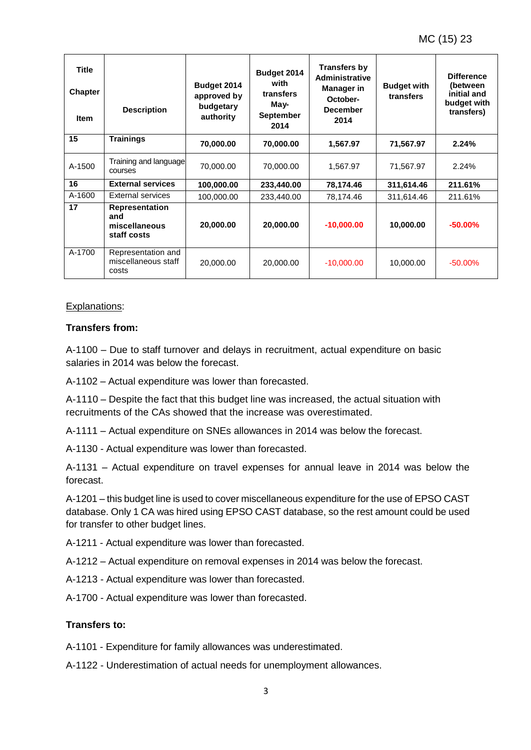| Title<br><b>Chapter</b><br><b>Item</b> | <b>Description</b>                                    | Budget 2014<br>approved by<br>budgetary<br>authority | Budget 2014<br>with<br>transfers<br>May-<br><b>September</b><br>2014 | <b>Transfers by</b><br><b>Administrative</b><br><b>Manager in</b><br>October-<br><b>December</b><br>2014 | <b>Budget with</b><br>transfers | <b>Difference</b><br>(between<br>initial and<br>budget with<br>transfers) |
|----------------------------------------|-------------------------------------------------------|------------------------------------------------------|----------------------------------------------------------------------|----------------------------------------------------------------------------------------------------------|---------------------------------|---------------------------------------------------------------------------|
| 15                                     | <b>Trainings</b>                                      | 70,000.00                                            | 70,000.00                                                            | 1,567.97                                                                                                 | 71,567.97                       | 2.24%                                                                     |
| A-1500                                 | Training and language<br>courses                      | 70,000.00                                            | 70,000.00                                                            | 1,567.97                                                                                                 | 71,567.97                       | 2.24%                                                                     |
| 16                                     | <b>External services</b>                              | 100,000.00                                           | 233,440.00                                                           | 78,174.46                                                                                                | 311,614.46                      | 211.61%                                                                   |
| A-1600                                 | External services                                     | 100,000.00                                           | 233,440.00                                                           | 78,174.46                                                                                                | 311,614.46                      | 211.61%                                                                   |
| 17                                     | Representation<br>and<br>miscellaneous<br>staff costs | 20,000.00                                            | 20,000.00                                                            | $-10,000.00$                                                                                             | 10,000.00                       | $-50.00\%$                                                                |
| A-1700                                 | Representation and<br>miscellaneous staff<br>costs    | 20,000.00                                            | 20,000.00                                                            | $-10,000.00$                                                                                             | 10,000.00                       | $-50.00\%$                                                                |

#### Explanations:

#### **Transfers from:**

A-1100 – Due to staff turnover and delays in recruitment, actual expenditure on basic salaries in 2014 was below the forecast.

A-1102 – Actual expenditure was lower than forecasted.

A-1110 – Despite the fact that this budget line was increased, the actual situation with recruitments of the CAs showed that the increase was overestimated.

A-1111 – Actual expenditure on SNEs allowances in 2014 was below the forecast.

A-1130 - Actual expenditure was lower than forecasted.

A-1131 – Actual expenditure on travel expenses for annual leave in 2014 was below the forecast.

A-1201 – this budget line is used to cover miscellaneous expenditure for the use of EPSO CAST database. Only 1 CA was hired using EPSO CAST database, so the rest amount could be used for transfer to other budget lines.

A-1211 - Actual expenditure was lower than forecasted.

A-1212 – Actual expenditure on removal expenses in 2014 was below the forecast.

A-1213 - Actual expenditure was lower than forecasted.

A-1700 - Actual expenditure was lower than forecasted.

#### **Transfers to:**

A-1101 - Expenditure for family allowances was underestimated.

A-1122 - Underestimation of actual needs for unemployment allowances.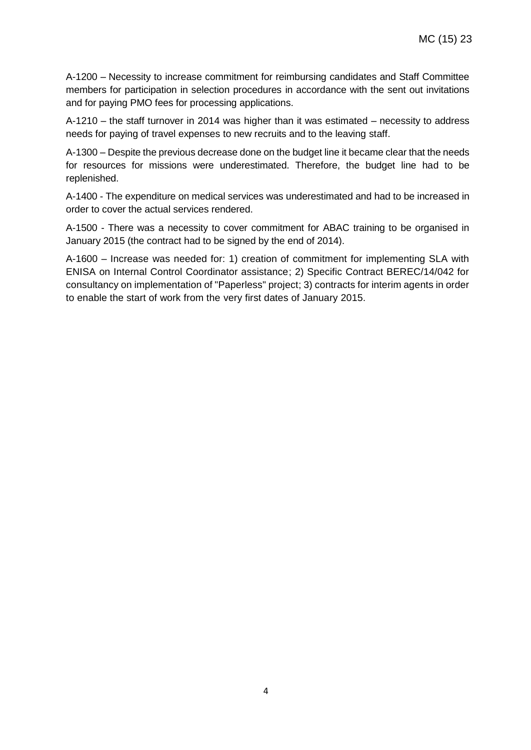A-1200 – Necessity to increase commitment for reimbursing candidates and Staff Committee members for participation in selection procedures in accordance with the sent out invitations and for paying PMO fees for processing applications.

A-1210 – the staff turnover in 2014 was higher than it was estimated – necessity to address needs for paying of travel expenses to new recruits and to the leaving staff.

A-1300 – Despite the previous decrease done on the budget line it became clear that the needs for resources for missions were underestimated. Therefore, the budget line had to be replenished.

A-1400 - The expenditure on medical services was underestimated and had to be increased in order to cover the actual services rendered.

A-1500 - There was a necessity to cover commitment for ABAC training to be organised in January 2015 (the contract had to be signed by the end of 2014).

A-1600 – Increase was needed for: 1) creation of commitment for implementing SLA with ENISA on Internal Control Coordinator assistance; 2) Specific Contract BEREC/14/042 for consultancy on implementation of "Paperless" project; 3) contracts for interim agents in order to enable the start of work from the very first dates of January 2015.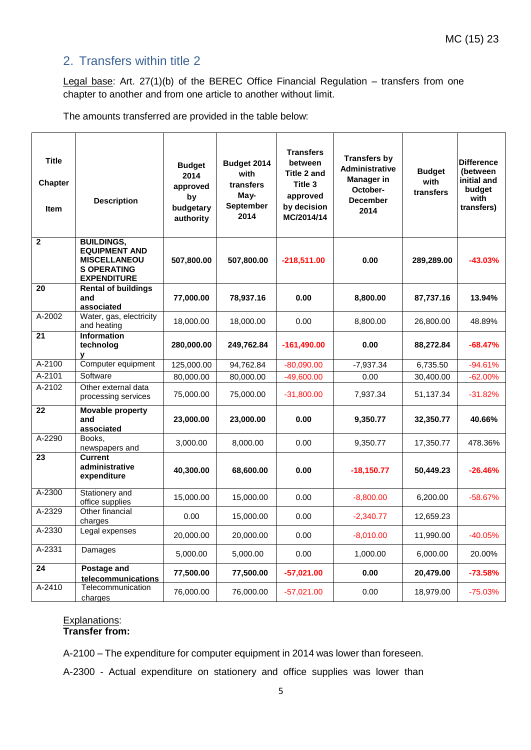## 2. Transfers within title 2

Legal base: Art. 27(1)(b) of the BEREC Office Financial Regulation – transfers from one chapter to another and from one article to another without limit.

The amounts transferred are provided in the table below:

| <b>Title</b><br><b>Chapter</b><br><b>Item</b> | <b>Description</b>                                                                                           | <b>Budget</b><br>2014<br>approved<br>by<br>budgetary<br>authority | Budget 2014<br>with<br>transfers<br>May-<br>September<br>2014 | <b>Transfers</b><br>between<br>Title 2 and<br>Title 3<br>approved<br>by decision<br>MC/2014/14 | <b>Transfers by</b><br><b>Administrative</b><br><b>Manager in</b><br>October-<br><b>December</b><br>2014 | <b>Budget</b><br>with<br>transfers | <b>Difference</b><br>(between<br>initial and<br>budget<br>with<br>transfers) |
|-----------------------------------------------|--------------------------------------------------------------------------------------------------------------|-------------------------------------------------------------------|---------------------------------------------------------------|------------------------------------------------------------------------------------------------|----------------------------------------------------------------------------------------------------------|------------------------------------|------------------------------------------------------------------------------|
| $\mathbf{2}$                                  | <b>BUILDINGS,</b><br><b>EQUIPMENT AND</b><br><b>MISCELLANEOU</b><br><b>S OPERATING</b><br><b>EXPENDITURE</b> | 507,800.00                                                        | 507,800.00                                                    | $-218,511.00$                                                                                  | 0.00                                                                                                     | 289,289.00                         | $-43.03%$                                                                    |
| 20                                            | <b>Rental of buildings</b><br>and<br>associated                                                              | 77,000.00                                                         | 78,937.16                                                     | 0.00                                                                                           | 8,800.00                                                                                                 | 87,737.16                          | 13.94%                                                                       |
| A-2002                                        | Water, gas, electricity<br>and heating                                                                       | 18,000.00                                                         | 18,000.00                                                     | 0.00                                                                                           | 8,800.00                                                                                                 | 26,800.00                          | 48.89%                                                                       |
| 21                                            | <b>Information</b><br>technolog<br>v                                                                         | 280,000.00                                                        | 249,762.84                                                    | $-161,490.00$                                                                                  | 0.00                                                                                                     | 88,272.84                          | $-68.47%$                                                                    |
| A-2100                                        | Computer equipment                                                                                           | 125,000.00                                                        | 94,762.84                                                     | $-80,090.00$                                                                                   | $-7,937.34$                                                                                              | 6,735.50                           | $-94.61%$                                                                    |
| A-2101                                        | Software                                                                                                     | 80,000.00                                                         | 80,000.00                                                     | $-49,600.00$                                                                                   | 0.00                                                                                                     | 30,400.00                          | $-62.00%$                                                                    |
| A-2102                                        | Other external data<br>processing services                                                                   | 75,000.00                                                         | 75,000.00                                                     | $-31,800.00$                                                                                   | 7,937.34                                                                                                 | 51,137.34                          | $-31.82%$                                                                    |
| 22                                            | <b>Movable property</b><br>and<br>associated                                                                 | 23,000.00                                                         | 23,000.00                                                     | 0.00                                                                                           | 9,350.77                                                                                                 | 32,350.77                          | 40.66%                                                                       |
| A-2290                                        | Books,<br>newspapers and                                                                                     | 3,000.00                                                          | 8,000.00                                                      | 0.00                                                                                           | 9,350.77                                                                                                 | 17,350.77                          | 478.36%                                                                      |
| 23                                            | <b>Current</b><br>administrative<br>expenditure                                                              | 40,300.00                                                         | 68,600.00                                                     | 0.00                                                                                           | $-18,150.77$                                                                                             | 50,449.23                          | $-26.46%$                                                                    |
| A-2300                                        | Stationery and<br>office supplies                                                                            | 15,000.00                                                         | 15,000.00                                                     | 0.00                                                                                           | $-8,800.00$                                                                                              | 6,200.00                           | $-58.67%$                                                                    |
| A-2329                                        | Other financial<br>charges                                                                                   | 0.00                                                              | 15,000.00                                                     | 0.00                                                                                           | $-2,340.77$                                                                                              | 12,659.23                          |                                                                              |
| A-2330                                        | Legal expenses                                                                                               | 20,000.00                                                         | 20,000.00                                                     | 0.00                                                                                           | $-8,010.00$                                                                                              | 11,990.00                          | $-40.05%$                                                                    |
| A-2331                                        | Damages                                                                                                      | 5,000.00                                                          | 5,000.00                                                      | 0.00                                                                                           | 1,000.00                                                                                                 | 6,000.00                           | 20.00%                                                                       |
| 24                                            | Postage and<br>telecommunications                                                                            | 77,500.00                                                         | 77,500.00                                                     | $-57,021.00$                                                                                   | 0.00                                                                                                     | 20,479.00                          | $-73.58%$                                                                    |
| A-2410                                        | Telecommunication<br>charges                                                                                 | 76,000.00                                                         | 76,000.00                                                     | $-57,021.00$                                                                                   | 0.00                                                                                                     | 18,979.00                          | $-75.03%$                                                                    |

#### Explanations: **Transfer from:**

A-2100 – The expenditure for computer equipment in 2014 was lower than foreseen.

A-2300 - Actual expenditure on stationery and office supplies was lower than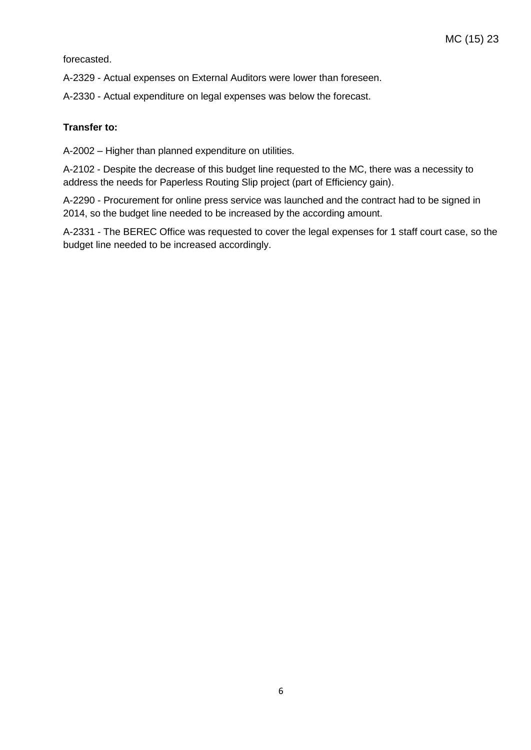forecasted.

A-2329 - Actual expenses on External Auditors were lower than foreseen.

A-2330 - Actual expenditure on legal expenses was below the forecast.

#### **Transfer to:**

A-2002 – Higher than planned expenditure on utilities.

A-2102 - Despite the decrease of this budget line requested to the MC, there was a necessity to address the needs for Paperless Routing Slip project (part of Efficiency gain).

A-2290 - Procurement for online press service was launched and the contract had to be signed in 2014, so the budget line needed to be increased by the according amount.

A-2331 - The BEREC Office was requested to cover the legal expenses for 1 staff court case, so the budget line needed to be increased accordingly.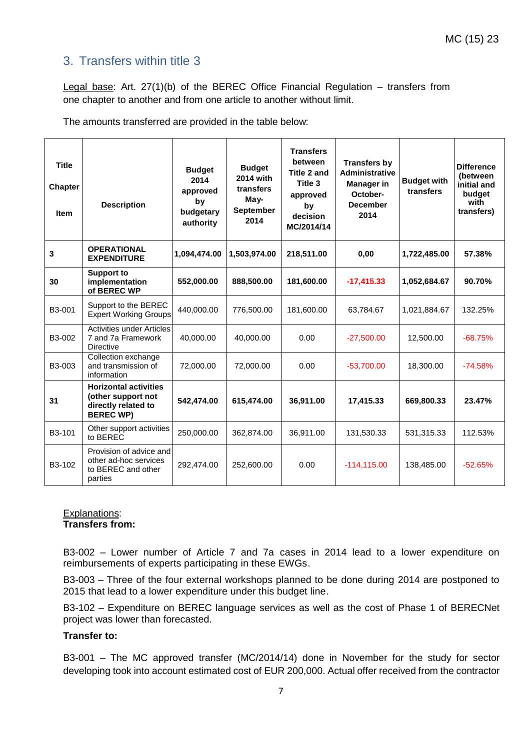## 3. Transfers within title 3

Legal base: Art. 27(1)(b) of the BEREC Office Financial Regulation – transfers from one chapter to another and from one article to another without limit.

The amounts transferred are provided in the table below:

| <b>Title</b><br><b>Chapter</b><br><b>Item</b> | <b>Description</b>                                                                            | <b>Budget</b><br>2014<br>approved<br>by<br>budgetary<br>authority | <b>Budget</b><br>2014 with<br>transfers<br>$M$ ay-<br><b>September</b><br>2014 | <b>Transfers</b><br>between<br>Title 2 and<br>Title 3<br>approved<br>by<br>decision<br>MC/2014/14 | <b>Transfers by</b><br><b>Administrative</b><br><b>Manager in</b><br>October-<br><b>December</b><br>2014 | <b>Budget with</b><br>transfers | <b>Difference</b><br>(between<br>initial and<br>budget<br>with<br>transfers) |
|-----------------------------------------------|-----------------------------------------------------------------------------------------------|-------------------------------------------------------------------|--------------------------------------------------------------------------------|---------------------------------------------------------------------------------------------------|----------------------------------------------------------------------------------------------------------|---------------------------------|------------------------------------------------------------------------------|
| 3                                             | <b>OPERATIONAL</b><br><b>EXPENDITURE</b>                                                      | 1,094,474.00                                                      | 1,503,974.00                                                                   | 218,511.00                                                                                        | 0,00                                                                                                     | 1,722,485.00                    | 57.38%                                                                       |
| 30                                            | <b>Support to</b><br>implementation<br>of BEREC WP                                            | 552,000.00                                                        | 888,500.00                                                                     | 181,600.00                                                                                        | $-17,415.33$                                                                                             | 1,052,684.67                    | 90.70%                                                                       |
| B3-001                                        | Support to the BEREC<br><b>Expert Working Groups</b>                                          | 440,000.00                                                        | 776,500.00                                                                     | 181,600.00                                                                                        | 63,784.67                                                                                                | 1,021,884.67                    | 132.25%                                                                      |
| B3-002                                        | Activities under Articles<br>7 and 7a Framework<br><b>Directive</b>                           | 40,000.00                                                         | 40,000.00                                                                      | 0.00                                                                                              | $-27,500.00$                                                                                             | 12,500.00                       | $-68.75%$                                                                    |
| B3-003                                        | Collection exchange<br>and transmission of<br>information                                     | 72,000.00                                                         | 72,000.00                                                                      | 0.00                                                                                              | $-53,700.00$                                                                                             | 18,300.00                       | $-74.58%$                                                                    |
| 31                                            | <b>Horizontal activities</b><br>(other support not<br>directly related to<br><b>BEREC WP)</b> | 542,474.00                                                        | 615,474.00                                                                     | 36,911.00                                                                                         | 17,415.33                                                                                                | 669,800.33                      | 23.47%                                                                       |
| B3-101                                        | Other support activities<br>to BEREC                                                          | 250,000.00                                                        | 362,874.00                                                                     | 36,911.00                                                                                         | 131,530.33                                                                                               | 531,315.33                      | 112.53%                                                                      |
| B3-102                                        | Provision of advice and<br>other ad-hoc services<br>to BEREC and other<br>parties             | 292,474.00                                                        | 252,600.00                                                                     | 0.00                                                                                              | $-114,115.00$                                                                                            | 138,485.00                      | $-52.65%$                                                                    |

#### Explanations: **Transfers from:**

B3-002 – Lower number of Article 7 and 7a cases in 2014 lead to a lower expenditure on reimbursements of experts participating in these EWGs.

B3-003 – Three of the four external workshops planned to be done during 2014 are postponed to 2015 that lead to a lower expenditure under this budget line.

B3-102 – Expenditure on BEREC language services as well as the cost of Phase 1 of BERECNet project was lower than forecasted.

#### **Transfer to:**

B3-001 – The MC approved transfer (MC/2014/14) done in November for the study for sector developing took into account estimated cost of EUR 200,000. Actual offer received from the contractor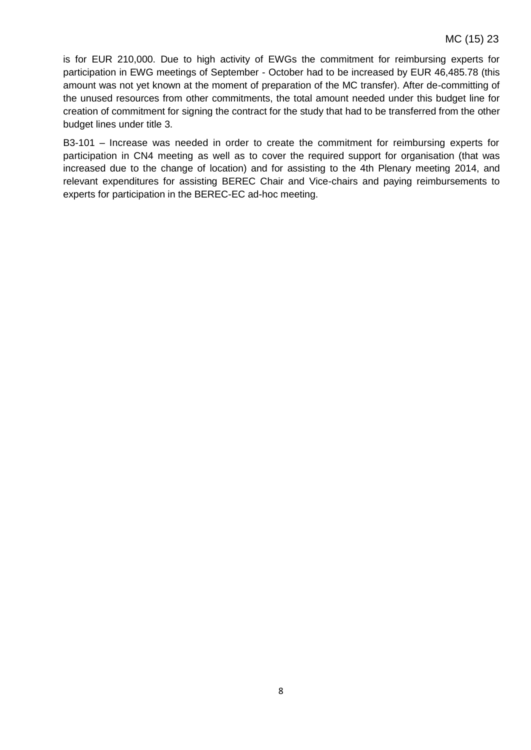is for EUR 210,000. Due to high activity of EWGs the commitment for reimbursing experts for participation in EWG meetings of September - October had to be increased by EUR 46,485.78 (this amount was not yet known at the moment of preparation of the MC transfer). After de-committing of the unused resources from other commitments, the total amount needed under this budget line for creation of commitment for signing the contract for the study that had to be transferred from the other budget lines under title 3.

B3-101 – Increase was needed in order to create the commitment for reimbursing experts for participation in CN4 meeting as well as to cover the required support for organisation (that was increased due to the change of location) and for assisting to the 4th Plenary meeting 2014, and relevant expenditures for assisting BEREC Chair and Vice-chairs and paying reimbursements to experts for participation in the BEREC-EC ad-hoc meeting.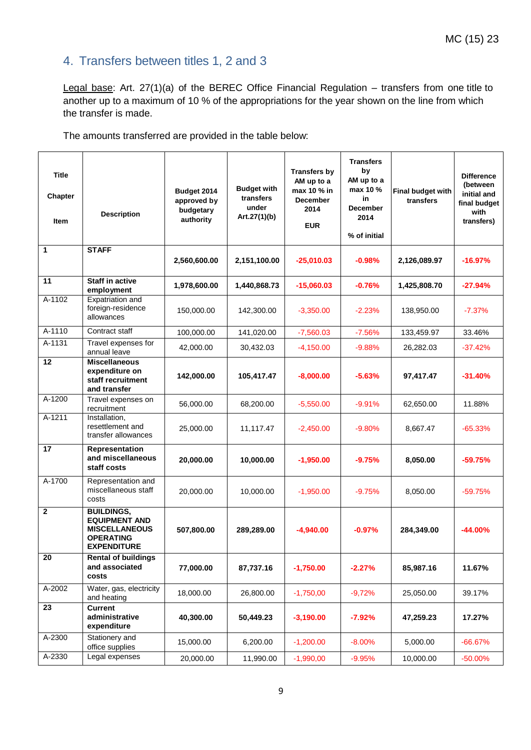## 4. Transfers between titles 1, 2 and 3

Legal base: Art. 27(1)(a) of the BEREC Office Financial Regulation – transfers from one title to another up to a maximum of 10 % of the appropriations for the year shown on the line from which the transfer is made.

The amounts transferred are provided in the table below:

| <b>Title</b><br>Chapter<br><b>Item</b> | <b>Description</b>                                                                                          | Budget 2014<br>approved by<br>budgetary<br>authority | <b>Budget with</b><br>transfers<br>under<br>Art.27(1)(b) | Transfers by<br>AM up to a<br>max 10 % in<br><b>December</b><br>2014<br><b>EUR</b> | <b>Transfers</b><br>by<br>AM up to a<br>max 10 %<br>in<br><b>December</b><br>2014<br>% of initial | Final budget with<br>transfers | <b>Difference</b><br>(between<br>initial and<br>final budget<br>with<br>transfers) |
|----------------------------------------|-------------------------------------------------------------------------------------------------------------|------------------------------------------------------|----------------------------------------------------------|------------------------------------------------------------------------------------|---------------------------------------------------------------------------------------------------|--------------------------------|------------------------------------------------------------------------------------|
| 1                                      | <b>STAFF</b>                                                                                                | 2,560,600.00                                         | 2,151,100.00                                             | $-25,010.03$                                                                       | $-0.98%$                                                                                          | 2,126,089.97                   | $-16.97%$                                                                          |
| 11                                     | <b>Staff in active</b><br>employment                                                                        | 1,978,600.00                                         | 1,440,868.73                                             | $-15,060.03$                                                                       | $-0.76%$                                                                                          | 1,425,808.70                   | $-27.94%$                                                                          |
| A-1102                                 | Expatriation and<br>foreign-residence<br>allowances                                                         | 150,000.00                                           | 142,300.00                                               | $-3,350.00$                                                                        | $-2.23%$                                                                                          | 138,950.00                     | $-7.37%$                                                                           |
| A-1110                                 | Contract staff                                                                                              | 100,000.00                                           | 141,020.00                                               | $-7,560.03$                                                                        | $-7.56%$                                                                                          | 133,459.97                     | 33.46%                                                                             |
| A-1131                                 | Travel expenses for<br>annual leave                                                                         | 42,000.00                                            | 30,432.03                                                | $-4,150.00$                                                                        | $-9.88%$                                                                                          | 26,282.03                      | $-37.42%$                                                                          |
| 12                                     | <b>Miscellaneous</b><br>expenditure on<br>staff recruitment<br>and transfer                                 | 142,000.00                                           | 105,417.47                                               | $-8,000.00$                                                                        | $-5.63%$                                                                                          | 97,417.47                      | $-31.40%$                                                                          |
| A-1200                                 | Travel expenses on<br>recruitment                                                                           | 56,000.00                                            | 68,200.00                                                | $-5,550.00$                                                                        | $-9.91%$                                                                                          | 62,650.00                      | 11.88%                                                                             |
| A-1211                                 | Installation,<br>resettlement and<br>transfer allowances                                                    | 25,000.00                                            | 11,117.47                                                | $-2,450.00$                                                                        | $-9.80%$                                                                                          | 8,667.47                       | $-65.33%$                                                                          |
| 17                                     | Representation<br>and miscellaneous<br>staff costs                                                          | 20,000.00                                            | 10,000.00                                                | $-1,950.00$                                                                        | $-9.75%$                                                                                          | 8,050.00                       | $-59.75%$                                                                          |
| A-1700                                 | Representation and<br>miscellaneous staff<br>costs                                                          | 20,000.00                                            | 10,000.00                                                | $-1,950.00$                                                                        | $-9.75%$                                                                                          | 8,050.00                       | $-59.75%$                                                                          |
| $\mathbf{2}$                           | <b>BUILDINGS,</b><br><b>EQUIPMENT AND</b><br><b>MISCELLANEOUS</b><br><b>OPERATING</b><br><b>EXPENDITURE</b> | 507,800.00                                           | 289,289.00                                               | $-4.940.00$                                                                        | $-0.97%$                                                                                          | 284,349.00                     | $-44.00%$                                                                          |
| $\overline{20}$                        | <b>Rental of buildings</b><br>and associated<br>costs                                                       | 77,000.00                                            | 87,737.16                                                | $-1,750.00$                                                                        | $-2.27%$                                                                                          | 85,987.16                      | 11.67%                                                                             |
| A-2002                                 | Water, gas, electricity<br>and heating                                                                      | 18,000.00                                            | 26,800.00                                                | $-1,750,00$                                                                        | $-9,72%$                                                                                          | 25,050.00                      | 39.17%                                                                             |
| 23                                     | <b>Current</b><br>administrative<br>expenditure                                                             | 40,300.00                                            | 50,449.23                                                | $-3,190.00$                                                                        | $-7.92%$                                                                                          | 47,259.23                      | 17.27%                                                                             |
| A-2300                                 | Stationery and<br>office supplies                                                                           | 15,000.00                                            | 6,200.00                                                 | $-1,200.00$                                                                        | $-8.00%$                                                                                          | 5,000.00                       | $-66.67%$                                                                          |
| A-2330                                 | Legal expenses                                                                                              | 20,000.00                                            | 11,990.00                                                | $-1,990,00$                                                                        | $-9.95%$                                                                                          | 10,000.00                      | $-50.00%$                                                                          |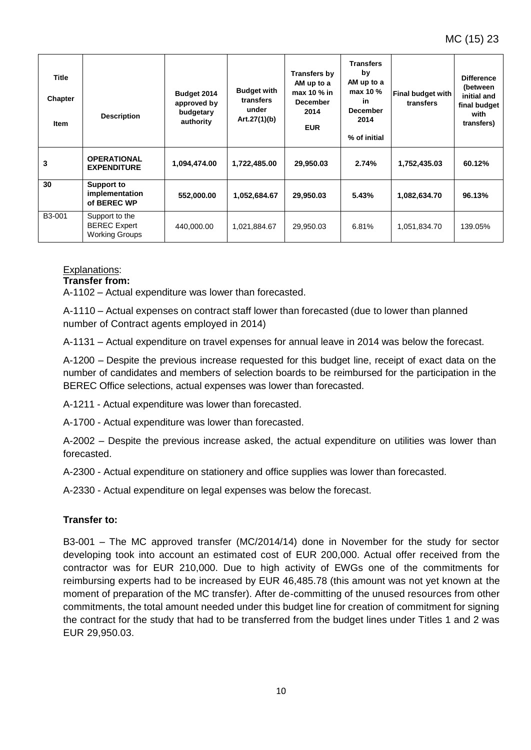| <b>Title</b><br>Chapter<br><b>Item</b> | <b>Description</b>                                             | Budget 2014<br>approved by<br>budgetary<br>authority | <b>Budget with</b><br>transfers<br>under<br>Art.27(1)(b) | Transfers by<br>AM up to a<br>max 10 $%$ in<br><b>December</b><br>2014<br><b>EUR</b> | <b>Transfers</b><br>by<br>AM up to a<br>max 10 %<br>in<br>December<br>2014<br>% of initial | <b>Final budget with</b><br>transfers | <b>Difference</b><br>(between<br>initial and<br>final budget<br>with<br>transfers) |
|----------------------------------------|----------------------------------------------------------------|------------------------------------------------------|----------------------------------------------------------|--------------------------------------------------------------------------------------|--------------------------------------------------------------------------------------------|---------------------------------------|------------------------------------------------------------------------------------|
| 3                                      | <b>OPERATIONAL</b><br><b>EXPENDITURE</b>                       | 1,094,474.00                                         | 1,722,485.00                                             | 29,950.03                                                                            | 2.74%                                                                                      | 1,752,435.03                          | 60.12%                                                                             |
| 30                                     | Support to<br>implementation<br>of BEREC WP                    | 552,000.00                                           | 1,052,684.67                                             | 29,950.03                                                                            | 5.43%                                                                                      | 1,082,634.70                          | 96.13%                                                                             |
| B3-001                                 | Support to the<br><b>BEREC</b> Expert<br><b>Working Groups</b> | 440,000.00                                           | 1,021,884.67                                             | 29,950.03                                                                            | 6.81%                                                                                      | 1,051,834.70                          | 139.05%                                                                            |

### Explanations:

#### **Transfer from:**

A-1102 – Actual expenditure was lower than forecasted.

A-1110 – Actual expenses on contract staff lower than forecasted (due to lower than planned number of Contract agents employed in 2014)

A-1131 – Actual expenditure on travel expenses for annual leave in 2014 was below the forecast.

A-1200 – Despite the previous increase requested for this budget line, receipt of exact data on the number of candidates and members of selection boards to be reimbursed for the participation in the BEREC Office selections, actual expenses was lower than forecasted.

A-1211 - Actual expenditure was lower than forecasted.

A-1700 - Actual expenditure was lower than forecasted.

A-2002 – Despite the previous increase asked, the actual expenditure on utilities was lower than forecasted.

A-2300 - Actual expenditure on stationery and office supplies was lower than forecasted.

A-2330 - Actual expenditure on legal expenses was below the forecast.

#### **Transfer to:**

B3-001 – The MC approved transfer (MC/2014/14) done in November for the study for sector developing took into account an estimated cost of EUR 200,000. Actual offer received from the contractor was for EUR 210,000. Due to high activity of EWGs one of the commitments for reimbursing experts had to be increased by EUR 46,485.78 (this amount was not yet known at the moment of preparation of the MC transfer). After de-committing of the unused resources from other commitments, the total amount needed under this budget line for creation of commitment for signing the contract for the study that had to be transferred from the budget lines under Titles 1 and 2 was EUR 29,950.03.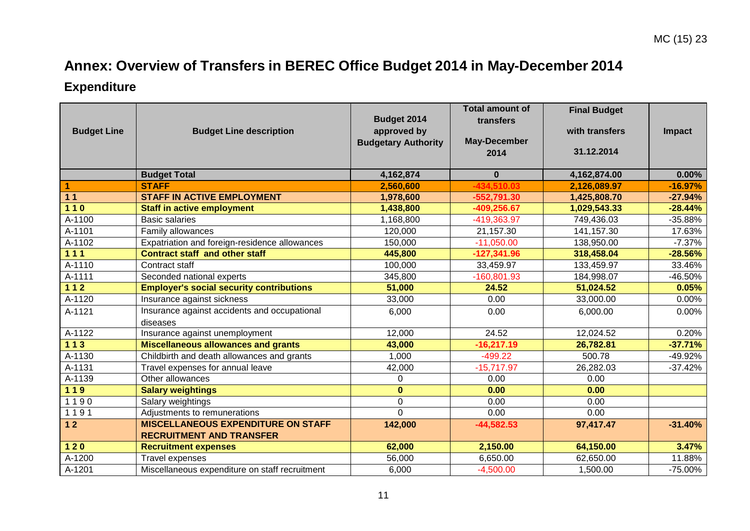# **Annex: Overview of Transfers in BEREC Office Budget 2014 in May-December 2014**

# **Expenditure**

| <b>Budget Line</b> | <b>Budget Line description</b>                  | Budget 2014<br>approved by<br><b>Budgetary Authority</b> | <b>Total amount of</b><br>transfers<br><b>May-December</b> | <b>Final Budget</b><br>with transfers<br>31.12.2014 | Impact    |
|--------------------|-------------------------------------------------|----------------------------------------------------------|------------------------------------------------------------|-----------------------------------------------------|-----------|
|                    |                                                 |                                                          | 2014                                                       |                                                     |           |
|                    | <b>Budget Total</b>                             | 4,162,874                                                | $\bf{0}$                                                   | 4,162,874.00                                        | $0.00\%$  |
| 1                  | <b>STAFF</b>                                    | 2,560,600                                                | $-434,510.03$                                              | 2,126,089.97                                        | $-16.97%$ |
| 11                 | <b>STAFF IN ACTIVE EMPLOYMENT</b>               | 1,978,600                                                | $-552,791.30$                                              | 1,425,808.70                                        | $-27.94%$ |
| $110$              | <b>Staff in active employment</b>               | 1,438,800                                                | $-409,256.67$                                              | 1,029,543.33                                        | $-28.44%$ |
| A-1100             | <b>Basic salaries</b>                           | 1,168,800                                                | -419,363.97                                                | 749,436.03                                          | $-35.88%$ |
| A-1101             | Family allowances                               | 120,000                                                  | 21,157.30                                                  | 141,157.30                                          | 17.63%    |
| A-1102             | Expatriation and foreign-residence allowances   | 150,000                                                  | $-11,050.00$                                               | 138,950.00                                          | $-7.37%$  |
| 111                | <b>Contract staff and other staff</b>           | 445,800                                                  | $-127,341.96$                                              | 318,458.04                                          | $-28.56%$ |
| A-1110             | Contract staff                                  | 100,000                                                  | 33,459.97                                                  | 133,459.97                                          | 33.46%    |
| A-1111             | Seconded national experts                       | 345,800                                                  | $-160,801.93$                                              | 184,998.07                                          | $-46.50%$ |
| $112$              | <b>Employer's social security contributions</b> | 51,000                                                   | 24.52                                                      | 51,024.52                                           | 0.05%     |
| A-1120             | Insurance against sickness                      | 33,000                                                   | 0.00                                                       | 33,000.00                                           | 0.00%     |
| A-1121             | Insurance against accidents and occupational    | 6,000                                                    | 0.00                                                       | 6,000.00                                            | 0.00%     |
|                    | diseases                                        |                                                          |                                                            |                                                     |           |
| A-1122             | Insurance against unemployment                  | 12,000                                                   | 24.52                                                      | 12,024.52                                           | 0.20%     |
| $113$              | <b>Miscellaneous allowances and grants</b>      | 43,000                                                   | $-16,217.19$                                               | 26,782.81                                           | $-37.71%$ |
| A-1130             | Childbirth and death allowances and grants      | 1,000                                                    | $-499.22$                                                  | 500.78                                              | -49.92%   |
| A-1131             | Travel expenses for annual leave                | 42,000                                                   | $-15,717.97$                                               | 26,282.03                                           | $-37.42%$ |
| A-1139             | Other allowances                                | $\Omega$                                                 | 0.00                                                       | 0.00                                                |           |
| 119                | <b>Salary weightings</b>                        | $\mathbf{0}$                                             | 0.00                                                       | 0.00                                                |           |
| 1190               | Salary weightings                               | $\mathsf 0$                                              | 0.00                                                       | 0.00                                                |           |
| 1191               | Adjustments to remunerations                    | $\Omega$                                                 | 0.00                                                       | 0.00                                                |           |
| $12$               | <b>MISCELLANEOUS EXPENDITURE ON STAFF</b>       | 142,000                                                  | $-44,582.53$                                               | 97,417.47                                           | $-31.40%$ |
|                    | <b>RECRUITMENT AND TRANSFER</b>                 |                                                          |                                                            |                                                     |           |
| $120$              | <b>Recruitment expenses</b>                     | 62,000                                                   | 2,150.00                                                   | 64,150.00                                           | 3.47%     |
| A-1200             | Travel expenses                                 | 56,000                                                   | 6,650.00                                                   | 62,650.00                                           | 11.88%    |
| A-1201             | Miscellaneous expenditure on staff recruitment  | 6,000                                                    | $-4,500.00$                                                | 1,500.00                                            | $-75.00%$ |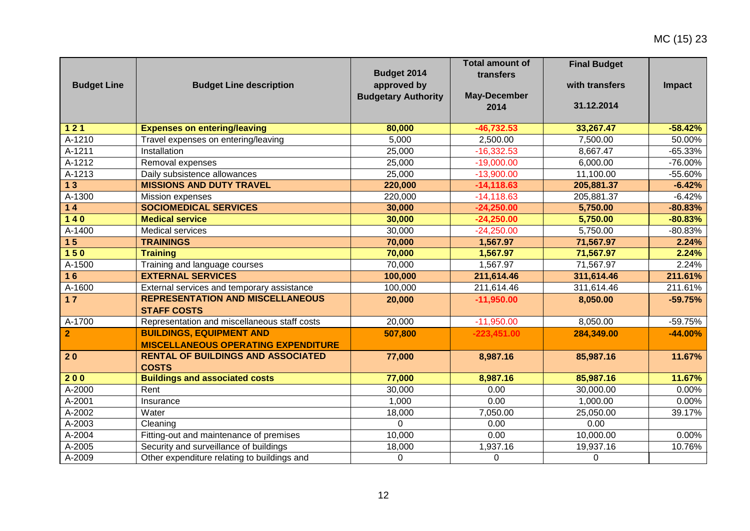MC (15) 23

| <b>Budget Line</b> | <b>Budget Line description</b>                                                | Budget 2014<br>approved by<br><b>Budgetary Authority</b> | <b>Total amount of</b><br>transfers<br><b>May-December</b><br>2014 | <b>Final Budget</b><br>with transfers<br>31.12.2014 | <b>Impact</b> |
|--------------------|-------------------------------------------------------------------------------|----------------------------------------------------------|--------------------------------------------------------------------|-----------------------------------------------------|---------------|
| $\overline{121}$   | <b>Expenses on entering/leaving</b>                                           | 80,000                                                   | $-46,732.53$                                                       | 33,267.47                                           | $-58.42%$     |
| A-1210             | Travel expenses on entering/leaving                                           | 5,000                                                    | 2,500.00                                                           | 7,500.00                                            | 50.00%        |
| A-1211             | Installation                                                                  | 25,000                                                   | $-16,332.53$                                                       | 8,667.47                                            | $-65.33%$     |
| A-1212             | Removal expenses                                                              | 25,000                                                   | $-19,000.00$                                                       | 6,000.00                                            | $-76.00\%$    |
| A-1213             | Daily subsistence allowances                                                  | 25,000                                                   | $-13,900.00$                                                       | 11,100.00                                           | -55.60%       |
| 13                 | <b>MISSIONS AND DUTY TRAVEL</b>                                               | 220,000                                                  | $-14, 118.63$                                                      | 205,881.37                                          | $-6.42%$      |
| A-1300             | Mission expenses                                                              | 220,000                                                  | $-14, 118.63$                                                      | 205,881.37                                          | $-6.42%$      |
| $14$               | <b>SOCIOMEDICAL SERVICES</b>                                                  | 30,000                                                   | $-24,250.00$                                                       | 5,750.00                                            | $-80.83%$     |
| $\overline{140}$   | <b>Medical service</b>                                                        | 30,000                                                   | $-24,250.00$                                                       | 5,750.00                                            | $-80.83%$     |
| A-1400             | <b>Medical services</b>                                                       | 30,000                                                   | $-24,250.00$                                                       | 5,750.00                                            | $-80.83%$     |
| 15                 | <b>TRAININGS</b>                                                              | 70,000                                                   | 1,567.97                                                           | 71,567.97                                           | 2.24%         |
| 150                | <b>Training</b>                                                               | 70,000                                                   | 1,567.97                                                           | 71,567.97                                           | 2.24%         |
| A-1500             | Training and language courses                                                 | 70,000                                                   | 1,567.97                                                           | 71,567.97                                           | 2.24%         |
| 16                 | <b>EXTERNAL SERVICES</b>                                                      | 100,000                                                  | 211,614.46                                                         | 311,614.46                                          | 211.61%       |
| A-1600             | External services and temporary assistance                                    | 100,000                                                  | 211,614.46                                                         | 311,614.46                                          | 211.61%       |
| 17                 | <b>REPRESENTATION AND MISCELLANEOUS</b><br><b>STAFF COSTS</b>                 | 20,000                                                   | $-11,950.00$                                                       | 8,050.00                                            | $-59.75%$     |
| A-1700             | Representation and miscellaneous staff costs                                  | 20,000                                                   | $-11,950.00$                                                       | 8,050.00                                            | $-59.75%$     |
| $\mathbf{2}$       | <b>BUILDINGS, EQUIPMENT AND</b><br><b>MISCELLANEOUS OPERATING EXPENDITURE</b> | 507,800                                                  | $-223,451.00$                                                      | 284,349.00                                          | $-44.00%$     |
| 20                 | <b>RENTAL OF BUILDINGS AND ASSOCIATED</b><br><b>COSTS</b>                     | 77,000                                                   | 8,987.16                                                           | 85,987.16                                           | 11.67%        |
| 200                | <b>Buildings and associated costs</b>                                         | 77,000                                                   | 8,987.16                                                           | 85,987.16                                           | 11.67%        |
| A-2000             | Rent                                                                          | 30,000                                                   | 0.00                                                               | 30,000.00                                           | 0.00%         |
| A-2001             | Insurance                                                                     | 1,000                                                    | 0.00                                                               | 1,000.00                                            | 0.00%         |
| A-2002             | Water                                                                         | 18,000                                                   | 7,050.00                                                           | 25,050.00                                           | 39.17%        |
| A-2003             | Cleaning                                                                      | $\Omega$                                                 | 0.00                                                               | 0.00                                                |               |
| A-2004             | Fitting-out and maintenance of premises                                       | 10,000                                                   | 0.00                                                               | 10,000.00                                           | 0.00%         |
| A-2005             | Security and surveillance of buildings                                        | 18,000                                                   | 1,937.16                                                           | 19,937.16                                           | 10.76%        |
| A-2009             | Other expenditure relating to buildings and                                   | 0                                                        | 0                                                                  | 0                                                   |               |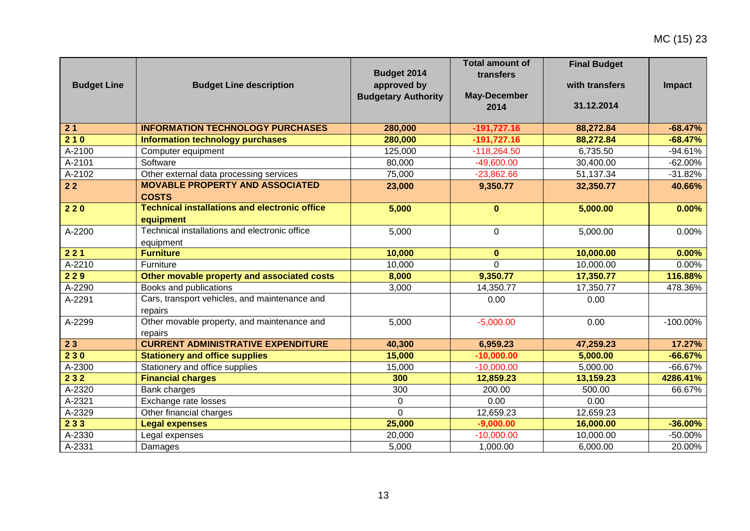MC (15) 23

| <b>Budget Line</b> | <b>Budget Line description</b>                                    | Budget 2014<br>approved by<br><b>Budgetary Authority</b> | <b>Total amount of</b><br>transfers<br><b>May-December</b><br>2014 | <b>Final Budget</b><br>with transfers<br>31.12.2014 | <b>Impact</b> |
|--------------------|-------------------------------------------------------------------|----------------------------------------------------------|--------------------------------------------------------------------|-----------------------------------------------------|---------------|
| $\overline{21}$    | <b>INFORMATION TECHNOLOGY PURCHASES</b>                           | 280,000                                                  | $-191,727.16$                                                      | 88,272.84                                           | $-68.47%$     |
| 210                | Information technology purchases                                  | 280,000                                                  | $-191,727.16$                                                      | 88,272.84                                           | $-68.47%$     |
| A-2100             | Computer equipment                                                | 125,000                                                  | $-118,264.50$                                                      | 6,735.50                                            | $-94.61%$     |
| A-2101             | Software                                                          | 80,000                                                   | $-49,600.00$                                                       | 30,400.00                                           | $-62.00%$     |
| A-2102             | Other external data processing services                           | 75,000                                                   | $-23,862.66$                                                       | 51,137.34                                           | $-31.82%$     |
| 22                 | <b>MOVABLE PROPERTY AND ASSOCIATED</b><br><b>COSTS</b>            | 23,000                                                   | 9,350.77                                                           | 32,350.77                                           | 40.66%        |
| 220                | <b>Technical installations and electronic office</b><br>equipment | 5,000                                                    | $\mathbf{0}$                                                       | 5,000.00                                            | 0.00%         |
| A-2200             | Technical installations and electronic office<br>equipment        | 5,000                                                    | $\Omega$                                                           | 5,000.00                                            | 0.00%         |
| 221                | <b>Furniture</b>                                                  | 10,000                                                   | $\mathbf{0}$                                                       | 10,000.00                                           | 0.00%         |
| A-2210             | Furniture                                                         | 10,000                                                   | $\Omega$                                                           | 10,000.00                                           | 0.00%         |
| 229                | Other movable property and associated costs                       | 8,000                                                    | 9,350.77                                                           | 17,350.77                                           | 116.88%       |
| A-2290             | Books and publications                                            | 3,000                                                    | 14,350.77                                                          | 17,350.77                                           | 478.36%       |
| A-2291             | Cars, transport vehicles, and maintenance and<br>repairs          |                                                          | 0.00                                                               | 0.00                                                |               |
| A-2299             | Other movable property, and maintenance and<br>repairs            | 5,000                                                    | $-5,000.00$                                                        | 0.00                                                | $-100.00\%$   |
| 23                 | <b>CURRENT ADMINISTRATIVE EXPENDITURE</b>                         | 40,300                                                   | 6,959.23                                                           | 47,259.23                                           | 17.27%        |
| 230                | <b>Stationery and office supplies</b>                             | 15,000                                                   | $-10,000.00$                                                       | 5,000.00                                            | $-66.67%$     |
| $A-2300$           | Stationery and office supplies                                    | 15,000                                                   | $-10,000.00$                                                       | 5,000.00                                            | $-66.67%$     |
| 232                | <b>Financial charges</b>                                          | 300                                                      | 12,859.23                                                          | 13,159.23                                           | 4286.41%      |
| A-2320             | Bank charges                                                      | 300                                                      | 200.00                                                             | 500.00                                              | 66.67%        |
| A-2321             | Exchange rate losses                                              | 0                                                        | 0.00                                                               | 0.00                                                |               |
| A-2329             | Other financial charges                                           | $\Omega$                                                 | 12,659.23                                                          | 12,659.23                                           |               |
| 233                | <b>Legal expenses</b>                                             | 25,000                                                   | $-9,000.00$                                                        | 16,000.00                                           | $-36.00%$     |
| A-2330             | Legal expenses                                                    | 20,000                                                   | $-10,000.00$                                                       | 10,000.00                                           | -50.00%       |
| A-2331             | Damages                                                           | 5,000                                                    | 1,000.00                                                           | 6,000.00                                            | 20.00%        |